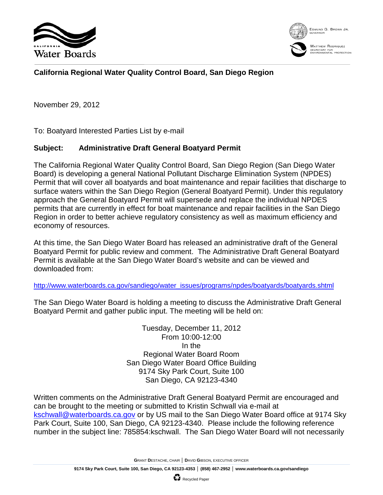



## **California Regional Water Quality Control Board, San Diego Region**

November 29, 2012

To: Boatyard Interested Parties List by e-mail

## **Subject: Administrative Draft General Boatyard Permit**

The California Regional Water Quality Control Board, San Diego Region (San Diego Water Board) is developing a general National Pollutant Discharge Elimination System (NPDES) Permit that will cover all boatyards and boat maintenance and repair facilities that discharge to surface waters within the San Diego Region (General Boatyard Permit). Under this regulatory approach the General Boatyard Permit will supersede and replace the individual NPDES permits that are currently in effect for boat maintenance and repair facilities in the San Diego Region in order to better achieve regulatory consistency as well as maximum efficiency and economy of resources.

At this time, the San Diego Water Board has released an administrative draft of the General Boatyard Permit for public review and comment. The Administrative Draft General Boatyard Permit is available at the San Diego Water Board's website and can be viewed and downloaded from:

[http://www.waterboards.ca.gov/sandiego/water\\_issues/programs/npdes/boatyards/boatyards.shtml](http://www.waterboards.ca.gov/sandiego/water_issues/programs/npdes/boatyards/boatyards.shtml)

The San Diego Water Board is holding a meeting to discuss the Administrative Draft General Boatyard Permit and gather public input. The meeting will be held on:

> Tuesday, December 11, 2012 From 10:00-12:00 In the Regional Water Board Room San Diego Water Board Office Building 9174 Sky Park Court, Suite 100 San Diego, CA 92123-4340

Written comments on the Administrative Draft General Boatyard Permit are encouraged and can be brought to the meeting or submitted to Kristin Schwall via e-mail at [kschwall@waterboards.ca.gov](mailto:kschwall@waterboards.ca.gov) or by US mail to the San Diego Water Board office at 9174 Sky Park Court, Suite 100, San Diego, CA 92123-4340. Please include the following reference number in the subject line: 785854:kschwall. The San Diego Water Board will not necessarily

**G**RANT **D**ESTACHE, CHAIR │ **D**AVID **G**IBSON, EXECUTIVE OFFICER